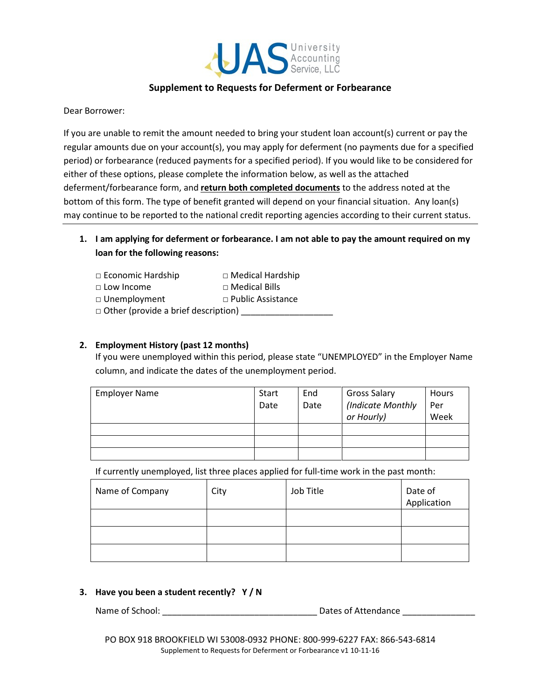

# Supplement to Requests for Deferment or Forbearance

Dear Borrower:

If you are unable to remit the amount needed to bring your student loan account(s) current or pay the regular amounts due on your account(s), you may apply for deferment (no payments due for a specified period) or forbearance (reduced payments for a specified period). If you would like to be considered for either of these options, please complete the information below, as well as the attached deferment/forbearance form, and return both completed documents to the address noted at the bottom of this form. The type of benefit granted will depend on your financial situation. Any loan(s) may continue to be reported to the national credit reporting agencies according to their current status.

1. I am applying for deferment or forbearance. I am not able to pay the amount required on my loan for the following reasons:

| $\Box$ Economic Hardship                   | $\Box$ Medical Hardship  |  |
|--------------------------------------------|--------------------------|--|
| $\Box$ Low Income                          | $\Box$ Medical Bills     |  |
| $\Box$ Unemployment                        | $\Box$ Public Assistance |  |
| $\Box$ Other (provide a brief description) |                          |  |

# 2. Employment History (past 12 months)

If you were unemployed within this period, please state "UNEMPLOYED" in the Employer Name column, and indicate the dates of the unemployment period.

| <b>Employer Name</b> | Start | End  | <b>Gross Salary</b> | Hours |
|----------------------|-------|------|---------------------|-------|
|                      | Date  | Date | (Indicate Monthly   | Per   |
|                      |       |      | or Hourly)          | Week  |
|                      |       |      |                     |       |
|                      |       |      |                     |       |
|                      |       |      |                     |       |

If currently unemployed, list three places applied for full-time work in the past month:

| Name of Company | City | Job Title | Date of<br>Application |
|-----------------|------|-----------|------------------------|
|                 |      |           |                        |
|                 |      |           |                        |
|                 |      |           |                        |

## 3. Have you been a student recently? Y / N

Name of School: \_\_\_\_\_\_\_\_\_\_\_\_\_\_\_\_\_\_\_\_\_\_\_\_\_\_\_\_\_\_\_\_ Dates of Attendance \_\_\_\_\_\_\_\_\_\_\_\_\_\_\_

PO BOX 918 BROOKFIELD WI 53008-0932 PHONE: 800-999-6227 FAX: 866-543-6814 Supplement to Requests for Deferment or Forbearance v1 10-11-16